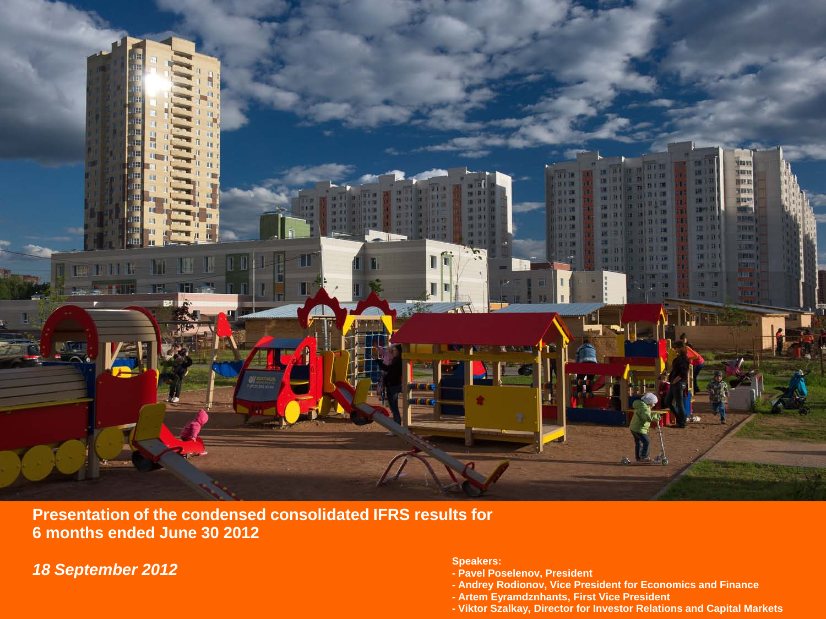

**Presentation of the condensed consolidated IFRS results for 6 months ended June 30 2012**

*18 September 2012*

**Speakers:**

- **- Pavel Poselenov, President**
- **- Andrey Rodionov, Vice President for Economics and Finance**
- **- Artem Eyramdznhants, First Vice President**
- **- Viktor Szalkay, Director for Investor Relations and Capital Markets**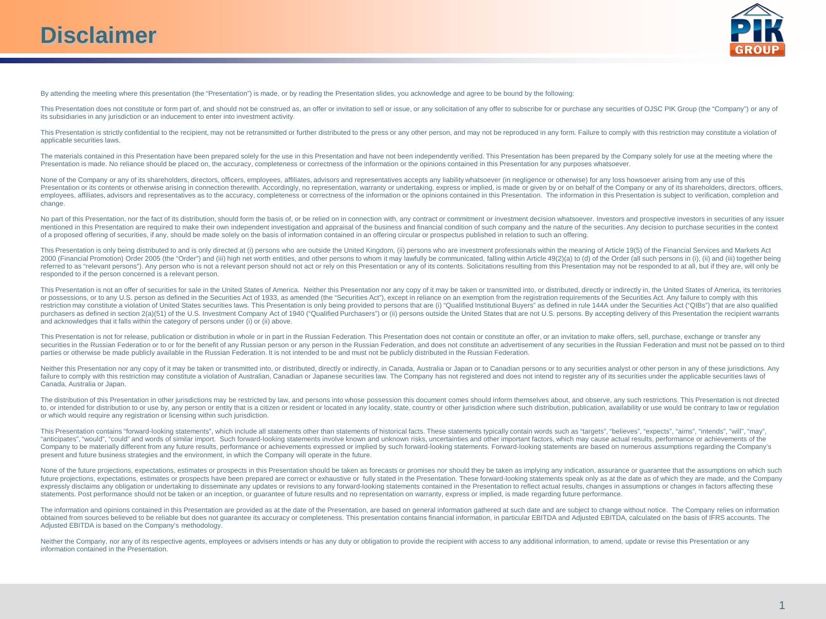

By attending the meeting where this presentation (the "Presentation") is made, or by reading the Presentation slides, you acknowledge and agree to be bound by the following:

This Presentation does not constitute or form part of, and should not be construed as, an offer or invitation to sell or issue, or any solicitation of any offer to subscribe for or purchase any securities of OJSC PIK Group its subsidiaries in any jurisdiction or an inducement to enter into investment activity.

This Presentation is strictly confidential to the recipient, may not be retransmitted or further distributed to the press or any other person, and may not be reproduced in any form. Failure to comply with this restriction applicable securities laws.

The materials contained in this Presentation have been prepared solely for the use in this Presentation and have not been independently verified. This Presentation has been prepared by the Company solely for use at the mee Presentation is made. No reliance should be placed on, the accuracy, completeness or correctness of the information or the opinions contained in this Presentation for any purposes whatsoever.

None of the Company or any of its shareholders, directors, officers, employees, affiliates, advisors and representatives accepts any liability whatsoever (in negligence or otherwise) for any loss howsoever arising from any Presentation or its contents or otherwise arising in connection therewith. Accordingly, no representation, warranty or undertaking, express or implied, is made or given by or on behalf of the Company or any of its sharehol employees, affiliates, advisors and representatives as to the accuracy, completeness or correctness of the information or the opinions contained in this Presentation. The information in this Presentation is subject to veri change.

No part of this Presentation, nor the fact of its distribution, should form the basis of, or be relied on in connection with, any contract or commitment or investment decision whatsoever. Investors and prospective investor mentioned in this Presentation are required to make their own independent investigation and appraisal of the business and financial condition of such company and the nature of the securities. Any decision to purchase secur of a proposed offering of securities, if any, should be made solely on the basis of information contained in an offering circular or prospectus published in relation to such an offering.

This Presentation is only being distributed to and is only directed at (i) persons who are outside the United Kingdom, (ii) persons who are investment professionals within the meaning of Article 19(5) of the Financial Serv 2000 (Financial Promotion) Order 2005 (the "Order") and (iii) high net worth entities, and other persons to whom it may lawfully be communicated. falling within Article 49(2)(a) to (d) of the Order (all such persons in (i) referred to as "relevant persons"). Any person who is not a relevant person should not act or rely on this Presentation or any of its contents. Solicitations resulting from this Presentation may not be responded to at all, responded to if the person concerned is a relevant person.

This Presentation is not an offer of securities for sale in the United States of America. Neither this Presentation nor any copy of it may be taken or transmitted into, or distributed, directly or indirectly in, the United or possessions, or to any U.S. person as defined in the Securities Act of 1933, as amended (the "Securities Act"), except in reliance on an exemption from the registration requirements of the Securities Act. Any failure to restriction may constitute a violation of United States securities laws. This Presentation is only being provided to persons that are (i) "Qualified Institutional Buyers" as defined in rule 144A under the Securities Act (" purchasers as defined in section 2(a)(51) of the U.S. Investment Company Act of 1940 ("Qualified Purchasers") or (ii) persons outside the United States that are not U.S. persons. By accepting delivery of this Presentation and acknowledges that it falls within the category of persons under (i) or (ii) above.

This Presentation is not for release, publication or distribution in whole or in part in the Russian Federation. This Presentation does not contain or constitute an offer, or an invitation to make offers, sell, purchase, e securities in the Russian Federation or to or for the benefit of any Russian person or any person in the Russian Federation, and does not constitute an advertisement of any securities in the Russian Federation and must not parties or otherwise be made publicly available in the Russian Federation. It is not intended to be and must not be publicly distributed in the Russian Federation.

Neither this Presentation nor any copy of it may be taken or transmitted into, or distributed, directly or indirectly, in Canada, Australia or Japan or to Canadian persons or to any securities analyst or other person in an failure to comply with this restriction may constitute a violation of Australian. Canadian or Japanese securities law. The Company has not registered and does not intend to register any of its securities under the applicab Canada, Australia or Japan.

The distribution of this Presentation in other jurisdictions may be restricted by law, and persons into whose possession this document comes should inform themselves about, and observe, any such restrictions. This Presenta to, or intended for distribution to or use by, any person or entity that is a citizen or resident or located in any locality, state, country or other jurisdiction where such distribution, publication, availability or use w or which would require any registration or licensing within such jurisdiction.

This Presentation contains "forward-looking statements", which include all statements other than statements of historical facts. These statements typically contain words such as "targets", "believes", "expects", "aims", "i "anticipates", "would", "could" and words of similar import. Such forward-looking statements involve known and unknown risks, uncertainties and other important factors, which may cause actual results, performance or achiev Company to be materially different from any future results, performance or achievements expressed or implied by such forward-looking statements. Forward-looking statements are based on numerous assumptions regarding the Co present and future business strategies and the environment, in which the Company will operate in the future.

None of the future projections, expectations, estimates or prospects in this Presentation should be taken as forecasts or promises nor should they be taken as implying any indication, assurance or quarantee that the assump future projections, expectations, estimates or prospects have been prepared are correct or exhaustive or fully stated in the Presentation. These forward-looking statements speak only as at the date as of which they are mad expressly disclaims any obligation or undertaking to disseminate any updates or revisions to any forward-looking statements contained in the Presentation to reflect actual results, changes in assumptions or changes in fact statements. Post performance should not be taken or an inception, or guarantee of future results and no representation on warranty, express or implied, is made regarding future performance.

The information and opinions contained in this Presentation are provided as at the date of the Presentation, are based on general information gathered at such date and are subject to change without notice. The Company reli obtained from sources believed to be reliable but does not guarantee its accuracy or completeness. This presentation contains financial information, in particular EBITDA and Adjusted EBITDA, calculated on the basis of IFRS Adjusted EBITDA is based on the Company's methodology.

Neither the Company, nor any of its respective agents, employees or advisers intends or has any duty or obligation to provide the recipient with access to any additional information, to amend, update or revise this Present information contained in the Presentation.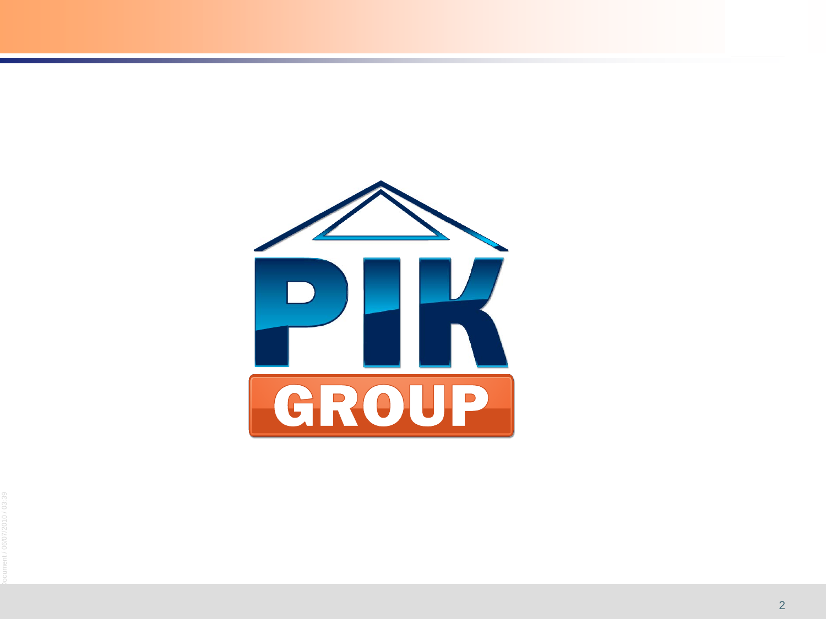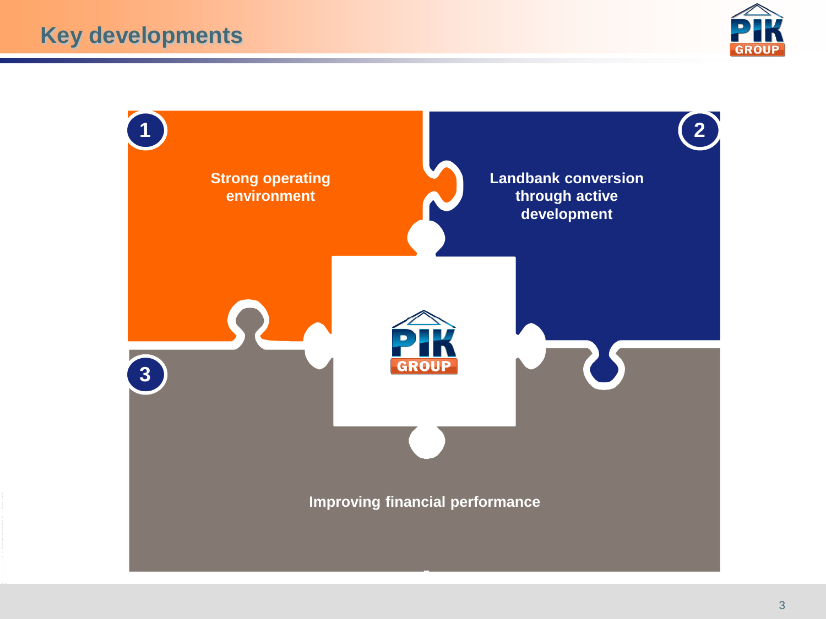

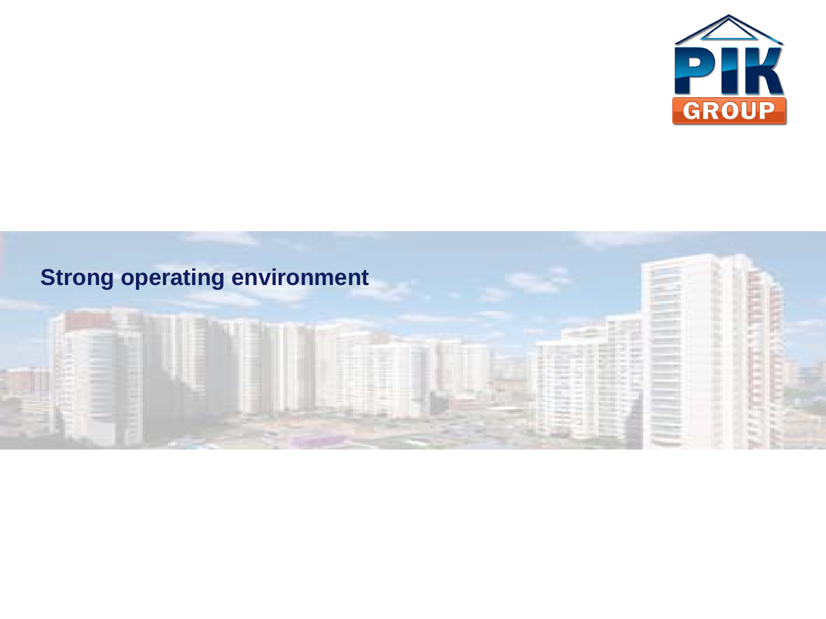

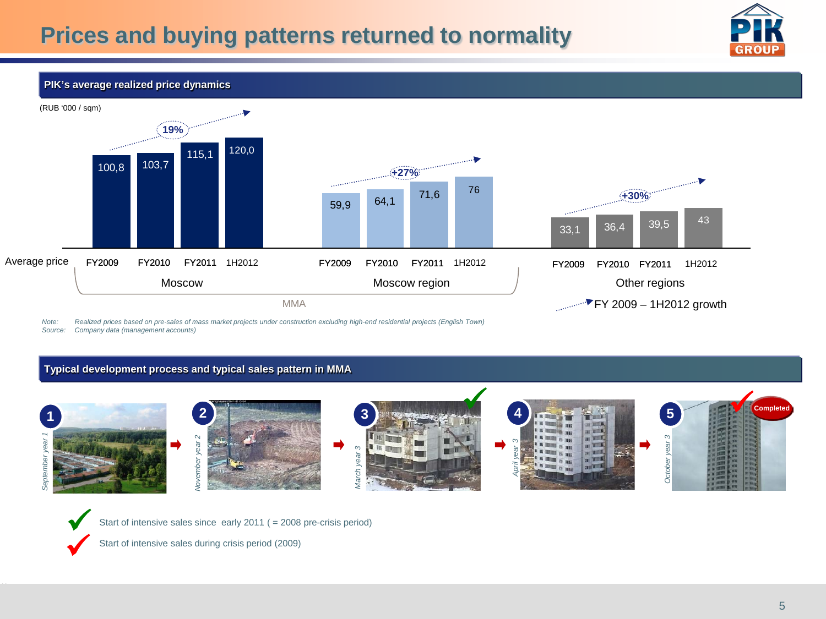

### **PIK's average realized price dynamics**



*Note: Realized prices based on pre-sales of mass market projects under construction excluding high-end residential projects (English Town) Source: Company data (management accounts)*

## **Typical development process and typical sales pattern in MMA**





Start of intensive sales since early 2011 ( = 2008 pre-crisis period)

Start of intensive sales during crisis period (2009)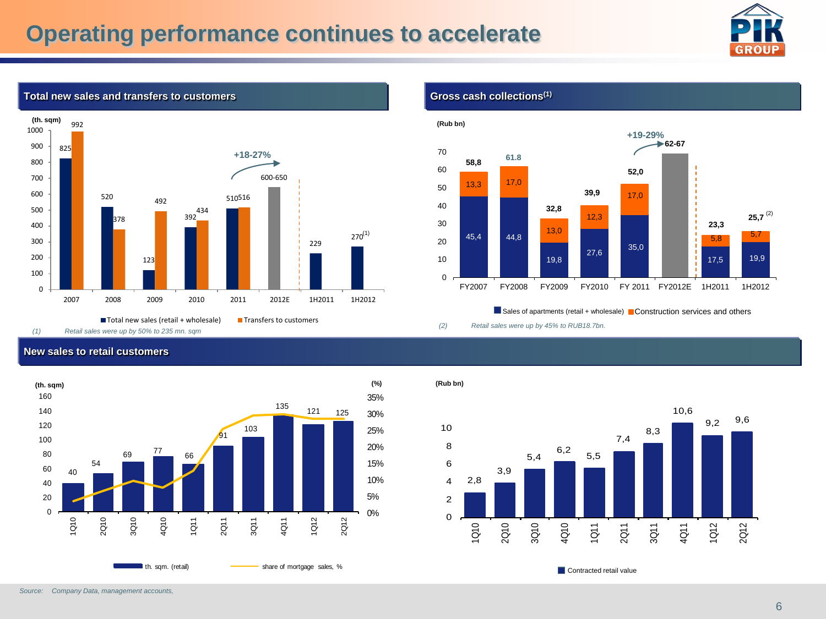# **Operating performance continues to accelerate**





### **Total new sales and transfers to customers**

*(1) Retail sales were up by 50% to 235 mn. sqm*

## **New sales to retail customers**



**Gross cash collections(1)**



Sales of apartments (retail + wholesale) **Construction services and others** 

*(2) Retail sales were up by 45% to RUB18.7bn.*

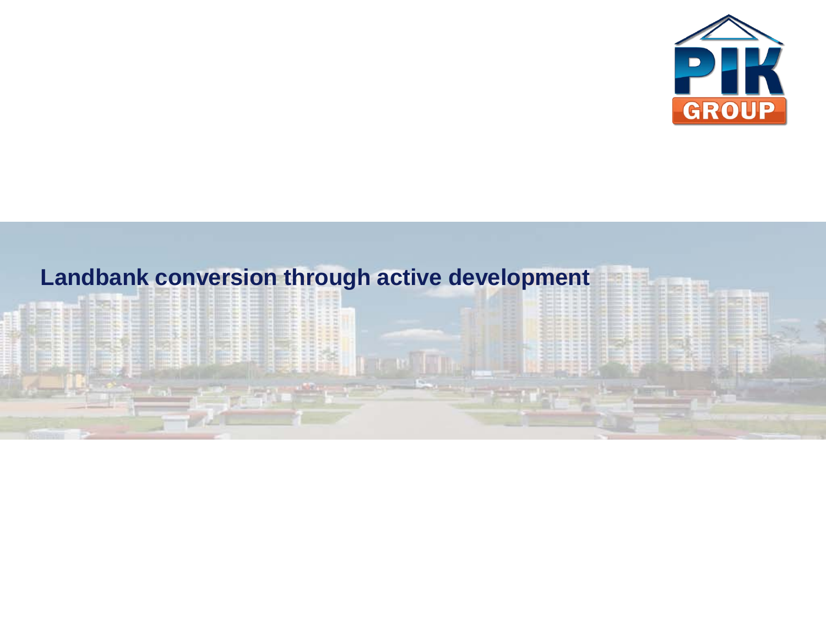

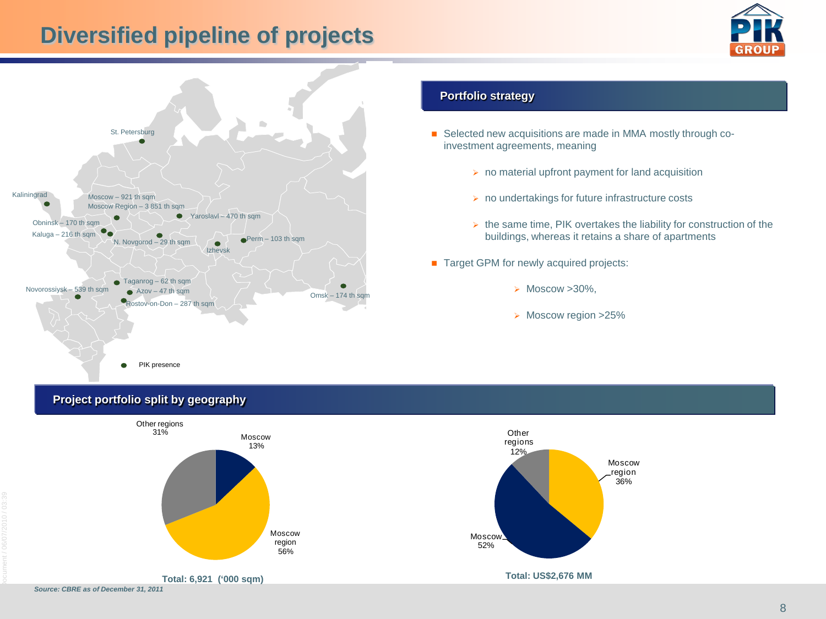# **Diversified pipeline of projects**





## **Portfolio strategy**

- investment agreements, meaning
	- $\triangleright$  no material upfront payment for land acquisition
	- $\triangleright$  no undertakings for future infrastructure costs
	- $\triangleright$  the same time, PIK overtakes the liability for construction of the buildings, whereas it retains a share of apartments
- **Target GPM for newly acquired projects:** 
	- $\triangleright$  Moscow  $>30\%$ .
	- > Moscow region >25%

# **Project portfolio split by geography**

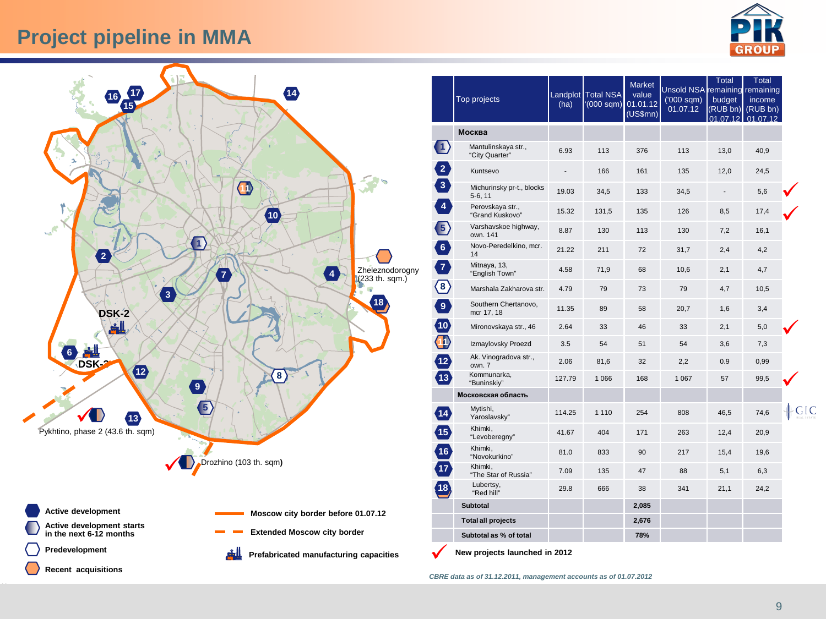# **Project pipeline in MMA**



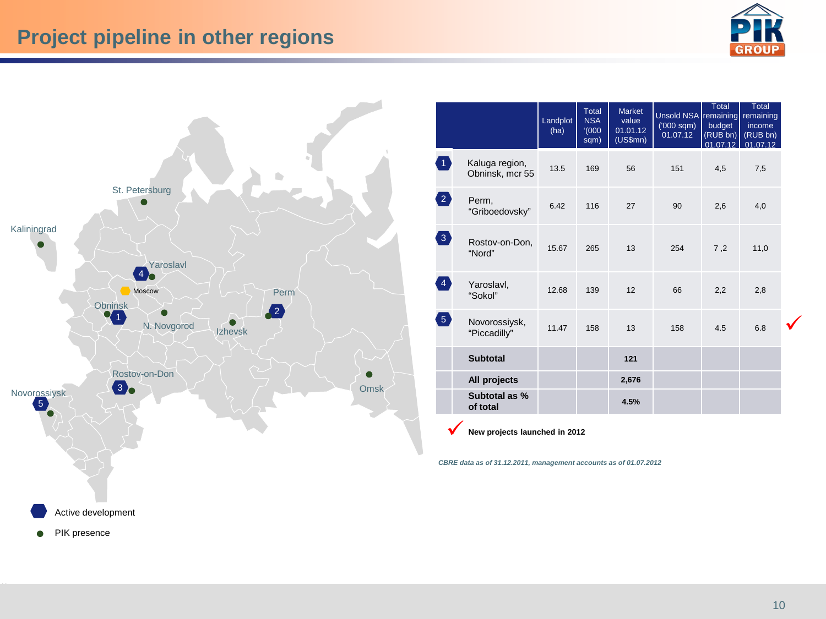![](_page_10_Picture_1.jpeg)

![](_page_10_Figure_2.jpeg)

|                                   |                                   | Landplot<br>(ha) | Total<br><b>NSA</b><br>(000)<br>sqm) | <b>Market</b><br>value<br>01.01.12<br>(US\$mn) | <b>Unsold NSA</b> remaining<br>$(000 \text{ sqm})$<br>01.07.12 | <b>Total</b><br>budget<br>(RUB bn)<br>01.07.12 | <b>Total</b><br>remaining<br>income<br>(RUB bn)<br>01.07.12 |  |
|-----------------------------------|-----------------------------------|------------------|--------------------------------------|------------------------------------------------|----------------------------------------------------------------|------------------------------------------------|-------------------------------------------------------------|--|
| 41                                | Kaluga region,<br>Obninsk, mcr 55 | 13.5             | 169                                  | 56                                             | 151                                                            | 4,5                                            | 7,5                                                         |  |
| $\left( 2\right)$                 | Perm,<br>"Griboedovsky"           | 6.42             | 116                                  | 27                                             | 90                                                             | 2,6                                            | 4,0                                                         |  |
| $\left(3\right)$                  | Rostov-on-Don,<br>"Nord"          | 15.67            | 265                                  | 13                                             | 254                                                            | 7,2                                            | 11,0                                                        |  |
| $\left(4\right)$                  | Yaroslavl,<br>"Sokol"             | 12.68            | 139                                  | 12                                             | 66                                                             | 2,2                                            | 2,8                                                         |  |
| $\begin{pmatrix} 5 \end{pmatrix}$ | Novorossiysk,<br>"Piccadilly"     | 11.47            | 158                                  | 13                                             | 158                                                            | 4.5                                            | 6.8                                                         |  |
|                                   | <b>Subtotal</b>                   |                  |                                      | 121                                            |                                                                |                                                |                                                             |  |
|                                   | All projects                      |                  |                                      | 2,676                                          |                                                                |                                                |                                                             |  |
|                                   | Subtotal as %<br>of total         |                  |                                      | 4.5%                                           |                                                                |                                                |                                                             |  |

**New projects launched in 2012**

*CBRE data as of 31.12.2011, management accounts as of 01.07.2012*

PIK presence  $\bullet$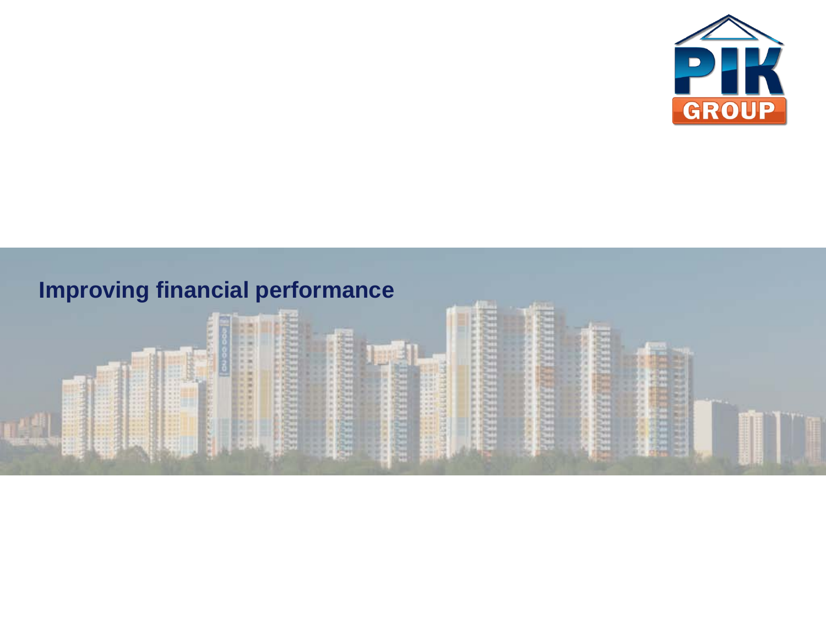![](_page_11_Picture_0.jpeg)

# **Improving financial performanceHEEEEEE** \*\*\*\*\*\*\*\*\*\*\* **MARK** 医阴极性 8888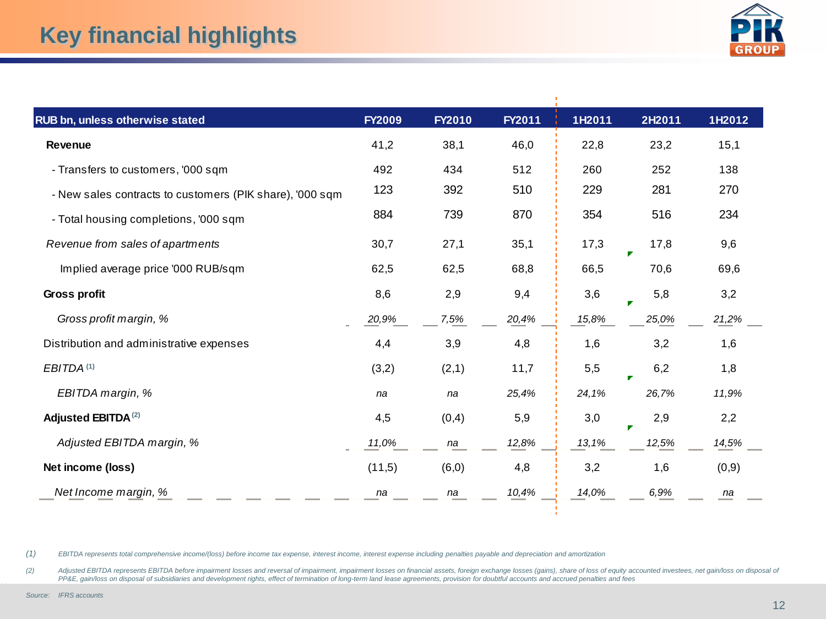![](_page_12_Picture_1.jpeg)

| RUB bn, unless otherwise stated                          | <b>FY2009</b> | <b>FY2010</b> | FY2011 | 1H2011 | 2H2011 | 1H2012 |
|----------------------------------------------------------|---------------|---------------|--------|--------|--------|--------|
| <b>Revenue</b>                                           | 41,2          | 38,1          | 46,0   | 22,8   | 23,2   | 15,1   |
| - Transfers to customers, '000 sqm                       | 492           | 434           | 512    | 260    | 252    | 138    |
| - New sales contracts to customers (PIK share), '000 sqm | 123           | 392           | 510    | 229    | 281    | 270    |
| - Total housing completions, '000 sqm                    | 884           | 739           | 870    | 354    | 516    | 234    |
| Revenue from sales of apartments                         | 30,7          | 27,1          | 35,1   | 17,3   | 17,8   | 9,6    |
| Implied average price '000 RUB/sqm                       | 62,5          | 62,5          | 68,8   | 66,5   | 70,6   | 69,6   |
| Gross profit                                             | 8,6           | 2,9           | 9,4    | 3,6    | 5,8    | 3,2    |
| Gross profit margin, %                                   | 20,9%         | 7,5%          | 20,4%  | 15,8%  | 25,0%  | 21,2%  |
| Distribution and administrative expenses                 | 4,4           | 3,9           | 4,8    | 1,6    | 3,2    | 1,6    |
| EBITDA <sup>(1)</sup>                                    | (3,2)         | (2,1)         | 11,7   | 5,5    | 6,2    | 1,8    |
| EBITDA margin, %                                         | na            | na            | 25,4%  | 24,1%  | 26,7%  | 11,9%  |
| Adjusted EBITDA <sup>(2)</sup>                           | 4,5           | (0,4)         | 5,9    | 3,0    | 2,9    | 2,2    |
| Adjusted EBITDA margin, %                                | 11,0%         | na            | 12,8%  | 13,1%  | 12,5%  | 14,5%  |
| Net income (loss)                                        | (11,5)        | (6, 0)        | 4,8    | 3,2    | 1,6    | (0,9)  |
| Net Income margin, %                                     | na            | na            | 10,4%  | 14,0%  | 6,9%   | na     |

*(1) EBITDA represents total comprehensive income/(loss) before income tax expense, interest income, interest expense including penalties payable and depreciation and amortization*

(2) Adjusted EBITDA represents EBITDA before impairment losses and reversal of impairment, impairment losses on financial assets, foreign exchange losses (gains), share of loss of equity accounted investees, net gain/loss *PP&E, gain/loss on disposal of subsidiaries and development rights, effect of termination of long-term land lease agreements, provision for doubtful accounts and accrued penalties and fees*

 $\mathbf{r}$